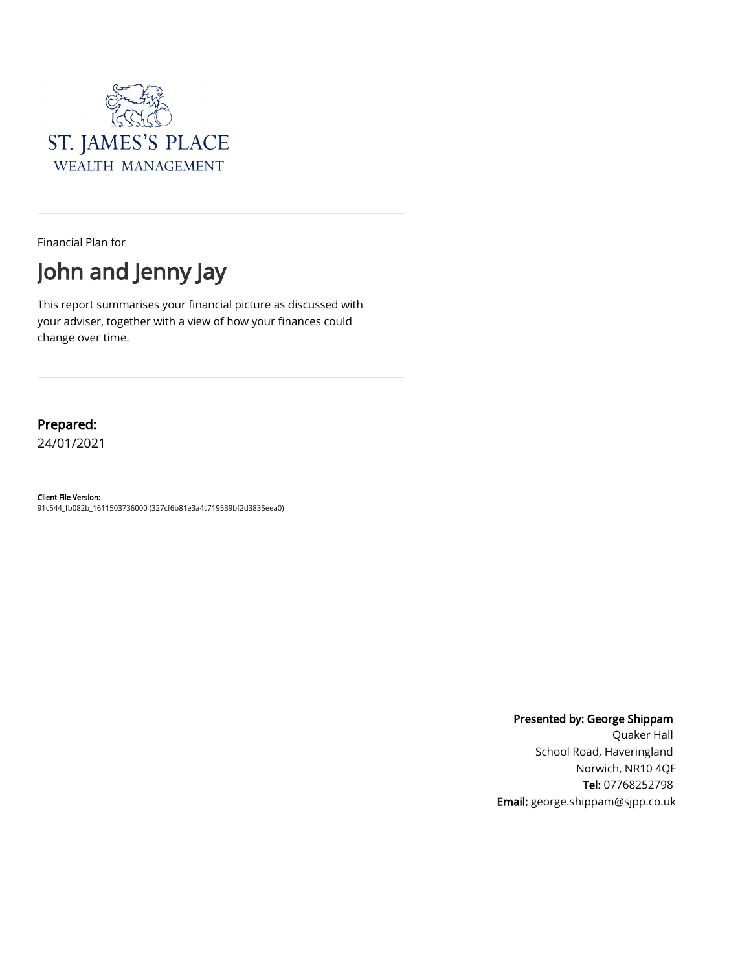

Financial Plan for



This report summarises your financial picture as discussed with your adviser, together with a view of how your finances could change over time.

#### Prepared:

24/01/2021

#### Client File Version:

91c544\_fb082b\_1611503736000 (327cf6b81e3a4c719539bf2d3835eea0)

Presented by: George Shippam

Quaker Hall School Road, Haveringland Norwich, NR10 4QF Tel: 07768252798 Email: george.shippam@sjpp.co.uk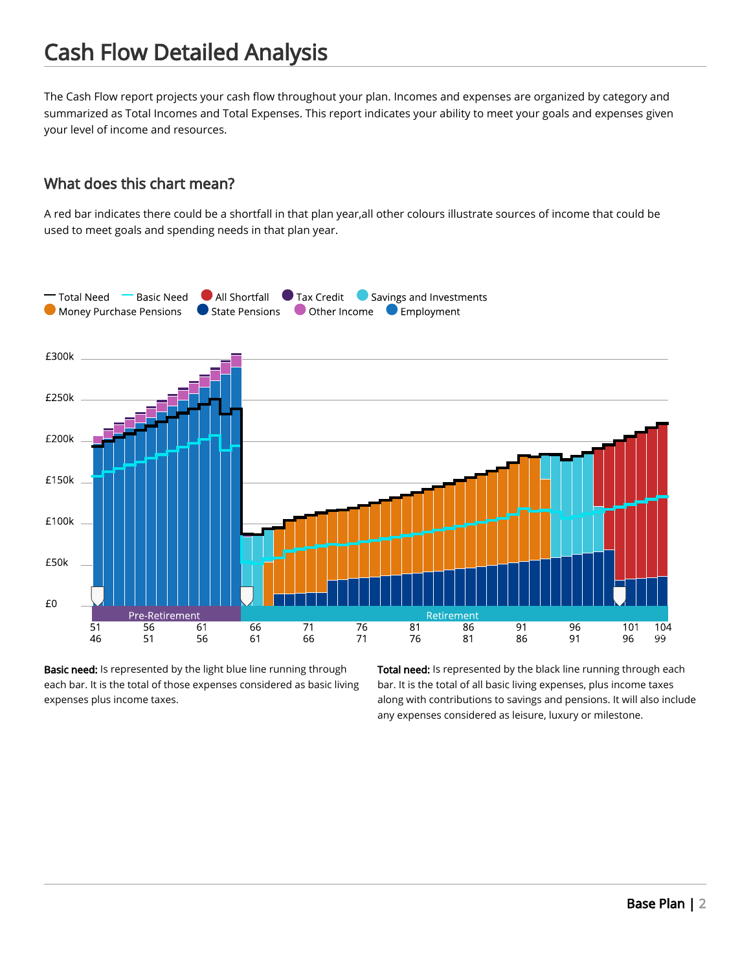The Cash Flow report projects your cash flow throughout your plan. Incomes and expenses are organized by category and summarized as Total Incomes and Total Expenses. This report indicates your ability to meet your goals and expenses given your level of income and resources.

#### What does this chart mean?

A red bar indicates there could be a shortfall in that plan year,all other colours illustrate sources of income that could be used to meet goals and spending needs in that plan year.



Basic need: Is represented by the light blue line running through each bar. It is the total of those expenses considered as basic living expenses plus income taxes.

Total need: Is represented by the black line running through each bar. It is the total of all basic living expenses, plus income taxes along with contributions to savings and pensions. It will also include any expenses considered as leisure, luxury or milestone.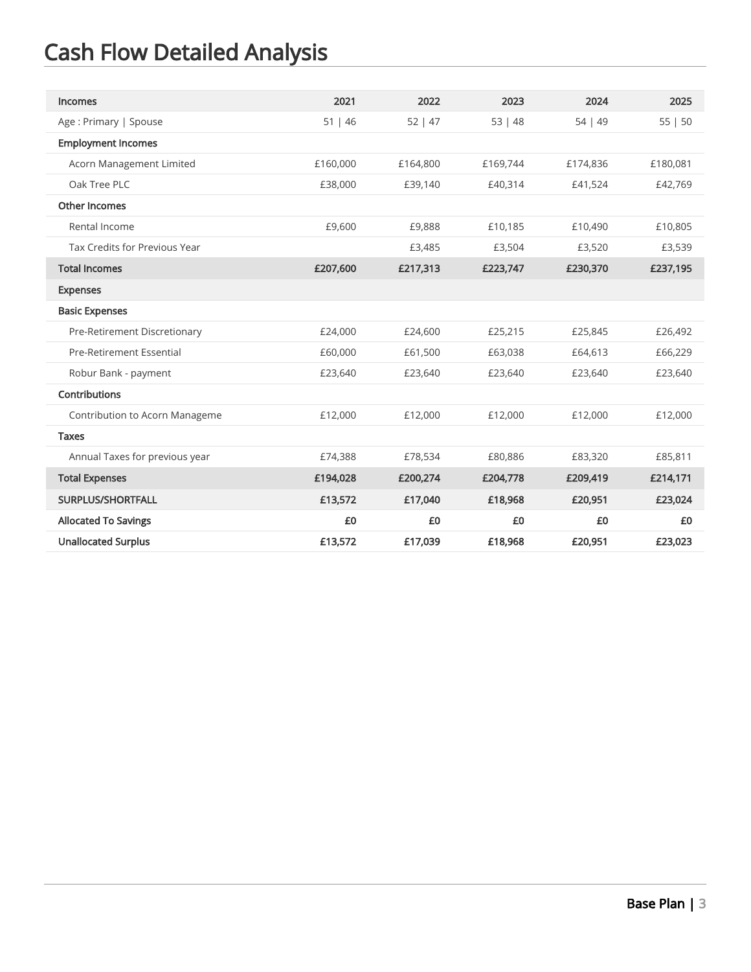| <b>Incomes</b>                  | 2021     | 2022     | 2023     | 2024     | 2025     |
|---------------------------------|----------|----------|----------|----------|----------|
| Age: Primary   Spouse           | 51   46  | 52   47  | 53   48  | 54   49  | 55   50  |
| <b>Employment Incomes</b>       |          |          |          |          |          |
| Acorn Management Limited        | £160,000 | £164,800 | £169,744 | £174,836 | £180,081 |
| Oak Tree PLC                    | £38,000  | £39,140  | £40,314  | £41,524  | £42,769  |
| <b>Other Incomes</b>            |          |          |          |          |          |
| Rental Income                   | £9,600   | £9,888   | £10,185  | £10,490  | £10,805  |
| Tax Credits for Previous Year   |          | £3,485   | £3,504   | £3,520   | £3,539   |
| <b>Total Incomes</b>            | £207,600 | £217,313 | £223,747 | £230,370 | £237,195 |
| <b>Expenses</b>                 |          |          |          |          |          |
| <b>Basic Expenses</b>           |          |          |          |          |          |
| Pre-Retirement Discretionary    | £24,000  | £24,600  | £25,215  | £25,845  | £26,492  |
| <b>Pre-Retirement Essential</b> | £60,000  | £61,500  | £63,038  | £64,613  | £66,229  |
| Robur Bank - payment            | £23,640  | £23,640  | £23,640  | £23,640  | £23,640  |
| Contributions                   |          |          |          |          |          |
| Contribution to Acorn Manageme  | £12,000  | £12,000  | £12,000  | £12,000  | £12,000  |
| <b>Taxes</b>                    |          |          |          |          |          |
| Annual Taxes for previous year  | £74,388  | £78,534  | £80,886  | £83,320  | £85,811  |
| <b>Total Expenses</b>           | £194,028 | £200,274 | £204,778 | £209,419 | £214,171 |
| SURPLUS/SHORTFALL               | £13,572  | £17,040  | £18,968  | £20,951  | £23,024  |
| <b>Allocated To Savings</b>     | £0       | £0       | £0       | £0       | £0       |
| <b>Unallocated Surplus</b>      | £13,572  | £17,039  | £18,968  | £20,951  | £23,023  |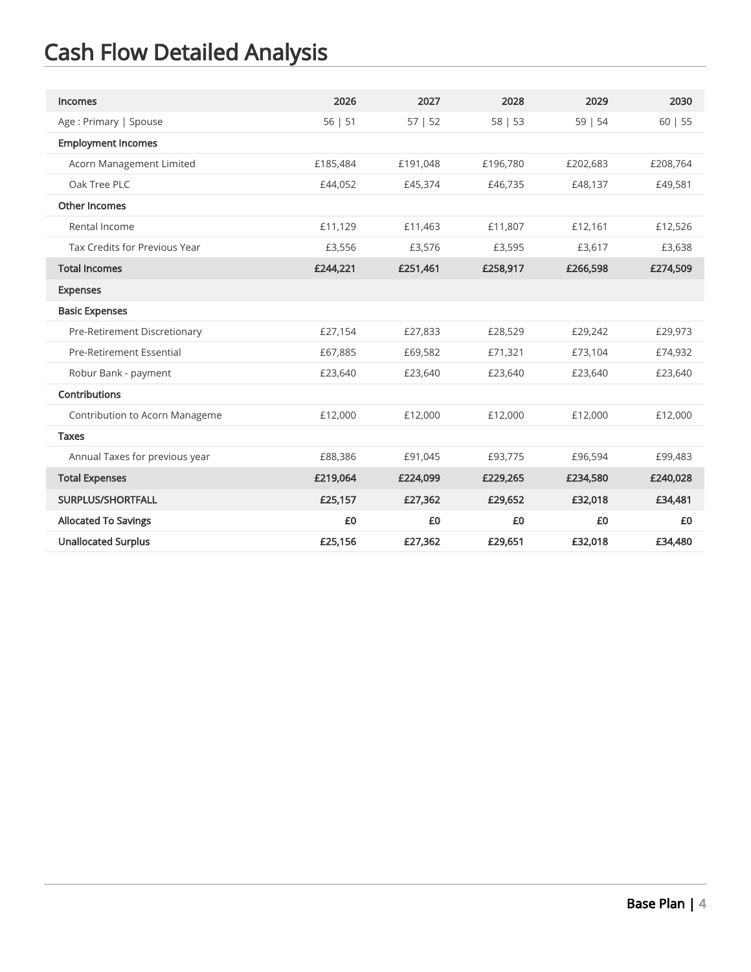| <b>Incomes</b>                 | 2026     | 2027     | 2028     | 2029     | 2030     |
|--------------------------------|----------|----------|----------|----------|----------|
| Age: Primary   Spouse          | 56   51  | 57   52  | 58   53  | 59   54  | 60   55  |
| <b>Employment Incomes</b>      |          |          |          |          |          |
| Acorn Management Limited       | £185,484 | £191.048 | £196.780 | £202,683 | £208,764 |
| Oak Tree PLC                   | £44,052  | £45,374  | £46,735  | £48,137  | £49,581  |
| <b>Other Incomes</b>           |          |          |          |          |          |
| Rental Income                  | £11,129  | £11,463  | £11,807  | £12,161  | £12,526  |
| Tax Credits for Previous Year  | £3,556   | £3,576   | £3,595   | £3,617   | £3,638   |
| <b>Total Incomes</b>           | £244,221 | £251,461 | £258,917 | £266,598 | £274,509 |
| <b>Expenses</b>                |          |          |          |          |          |
| <b>Basic Expenses</b>          |          |          |          |          |          |
| Pre-Retirement Discretionary   | £27,154  | £27,833  | £28,529  | £29,242  | £29,973  |
| Pre-Retirement Essential       | £67,885  | £69,582  | £71,321  | £73,104  | £74,932  |
| Robur Bank - payment           | £23,640  | £23,640  | £23,640  | £23,640  | £23,640  |
| Contributions                  |          |          |          |          |          |
| Contribution to Acorn Manageme | £12,000  | £12,000  | £12,000  | £12,000  | £12,000  |
| <b>Taxes</b>                   |          |          |          |          |          |
| Annual Taxes for previous year | £88,386  | £91,045  | £93,775  | £96,594  | £99,483  |
| <b>Total Expenses</b>          | £219,064 | £224,099 | £229,265 | £234,580 | £240,028 |
| SURPLUS/SHORTFALL              | £25,157  | £27,362  | £29,652  | £32,018  | £34,481  |
| <b>Allocated To Savings</b>    | £0       | £0       | £0       | £0       | £0       |
| <b>Unallocated Surplus</b>     | £25,156  | £27,362  | £29,651  | £32,018  | £34,480  |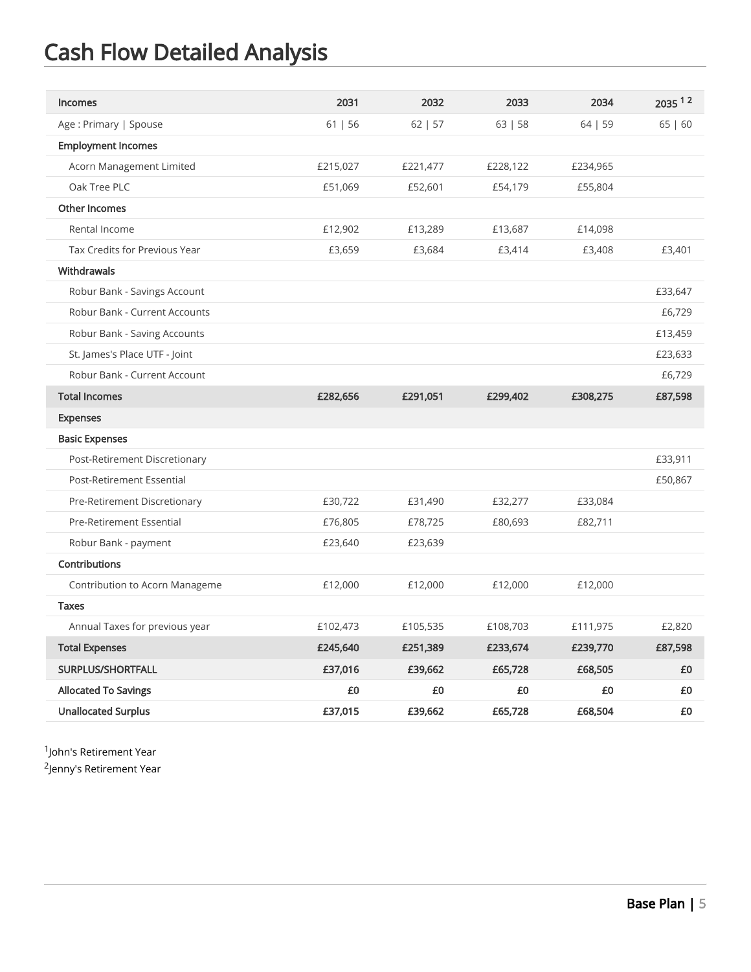| <b>Incomes</b>                 | 2031     | 2032     | 2033     | 2034     | 2035 12 |
|--------------------------------|----------|----------|----------|----------|---------|
| Age: Primary   Spouse          | 61   56  | 62   57  | 63   58  | 64   59  | 65   60 |
| <b>Employment Incomes</b>      |          |          |          |          |         |
| Acorn Management Limited       | £215,027 | £221,477 | £228,122 | £234,965 |         |
| Oak Tree PLC                   | £51,069  | £52,601  | £54,179  | £55,804  |         |
| <b>Other Incomes</b>           |          |          |          |          |         |
| Rental Income                  | £12,902  | £13,289  | £13,687  | £14,098  |         |
| Tax Credits for Previous Year  | £3,659   | £3,684   | £3,414   | £3,408   | £3,401  |
| Withdrawals                    |          |          |          |          |         |
| Robur Bank - Savings Account   |          |          |          |          | £33,647 |
| Robur Bank - Current Accounts  |          |          |          |          | £6,729  |
| Robur Bank - Saving Accounts   |          |          |          |          | £13,459 |
| St. James's Place UTF - Joint  |          |          |          |          | £23,633 |
| Robur Bank - Current Account   |          |          |          |          | £6,729  |
| <b>Total Incomes</b>           | £282,656 | £291,051 | £299,402 | £308,275 | £87,598 |
| <b>Expenses</b>                |          |          |          |          |         |
| <b>Basic Expenses</b>          |          |          |          |          |         |
| Post-Retirement Discretionary  |          |          |          |          | £33,911 |
| Post-Retirement Essential      |          |          |          |          | £50,867 |
| Pre-Retirement Discretionary   | £30,722  | £31,490  | £32,277  | £33,084  |         |
| Pre-Retirement Essential       | £76,805  | £78,725  | £80,693  | £82,711  |         |
| Robur Bank - payment           | £23,640  | £23,639  |          |          |         |
| <b>Contributions</b>           |          |          |          |          |         |
| Contribution to Acorn Manageme | £12,000  | £12,000  | £12,000  | £12,000  |         |
| <b>Taxes</b>                   |          |          |          |          |         |
| Annual Taxes for previous year | £102,473 | £105,535 | £108,703 | £111,975 | £2,820  |
| <b>Total Expenses</b>          | £245,640 | £251,389 | £233,674 | £239,770 | £87,598 |
| SURPLUS/SHORTFALL              | £37,016  | £39,662  | £65,728  | £68,505  | £0      |
| <b>Allocated To Savings</b>    | £0       | £0       | £0       | £0       | £0      |
| <b>Unallocated Surplus</b>     | £37,015  | £39,662  | £65,728  | £68,504  | £0      |

 $1$ John's Retirement Year

 $2$ Jenny's Retirement Year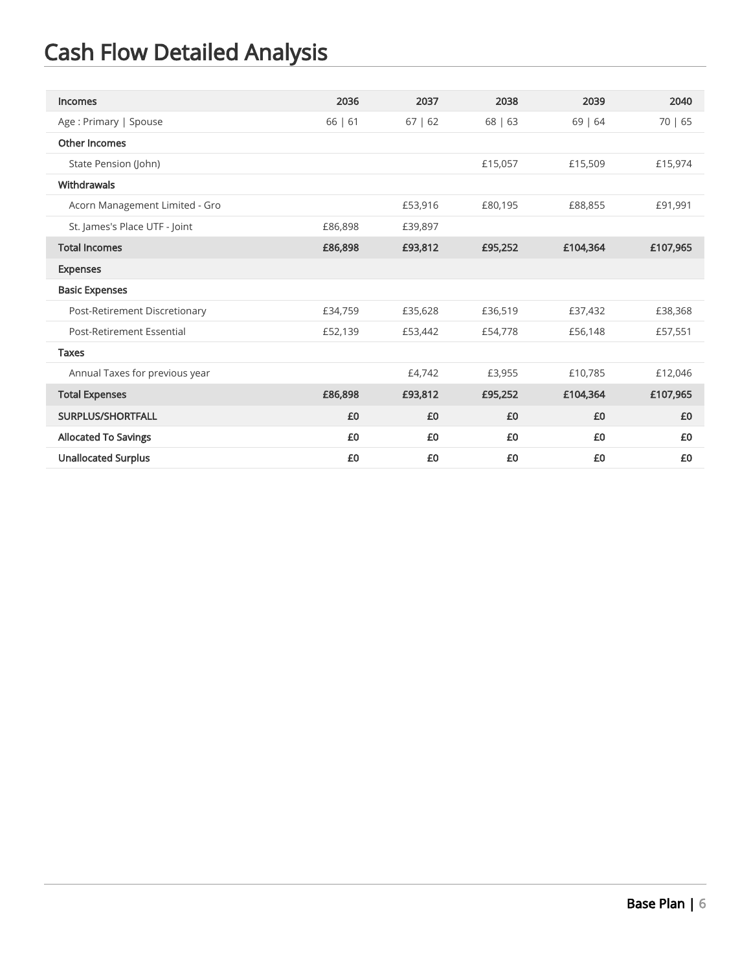| Incomes                        | 2036    | 2037    | 2038    | 2039     | 2040     |
|--------------------------------|---------|---------|---------|----------|----------|
| Age: Primary   Spouse          | 66   61 | 67   62 | 68   63 | 69   64  | 70   65  |
| Other Incomes                  |         |         |         |          |          |
| State Pension (John)           |         |         | £15,057 | £15,509  | £15,974  |
| Withdrawals                    |         |         |         |          |          |
| Acorn Management Limited - Gro |         | £53,916 | £80,195 | £88,855  | £91,991  |
| St. James's Place UTF - Joint  | £86,898 | £39,897 |         |          |          |
| <b>Total Incomes</b>           | £86,898 | £93,812 | £95,252 | £104,364 | £107,965 |
| <b>Expenses</b>                |         |         |         |          |          |
| <b>Basic Expenses</b>          |         |         |         |          |          |
| Post-Retirement Discretionary  | £34,759 | £35,628 | £36,519 | £37,432  | £38,368  |
| Post-Retirement Essential      | £52,139 | £53,442 | £54,778 | £56,148  | £57,551  |
| <b>Taxes</b>                   |         |         |         |          |          |
| Annual Taxes for previous year |         | £4,742  | £3,955  | £10,785  | £12,046  |
| <b>Total Expenses</b>          | £86,898 | £93,812 | £95,252 | £104,364 | £107,965 |
| SURPLUS/SHORTFALL              | £0      | £0      | £0      | £0       | £0       |
| <b>Allocated To Savings</b>    | £0      | £0      | £0      | £0       | £0       |
| <b>Unallocated Surplus</b>     | £0      | £0      | £0      | £0       | £0       |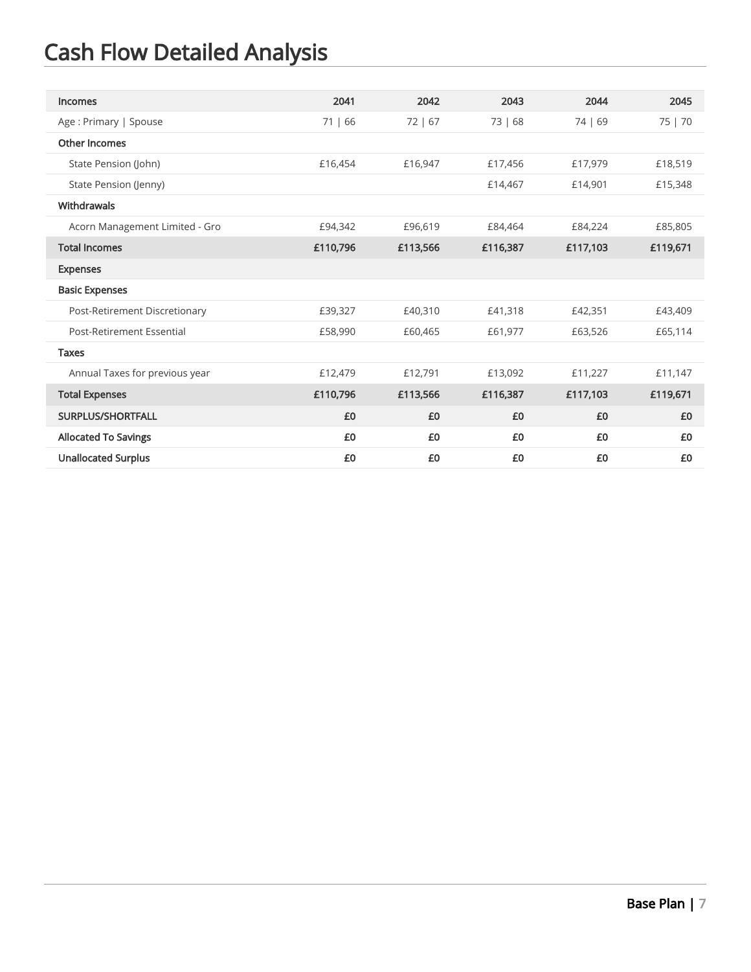| Incomes                        | 2041     | 2042     | 2043     | 2044     | 2045     |
|--------------------------------|----------|----------|----------|----------|----------|
| Age: Primary   Spouse          | 71   66  | 72   67  | 73   68  | 74   69  | 75   70  |
| <b>Other Incomes</b>           |          |          |          |          |          |
| State Pension (John)           | £16,454  | £16,947  | £17,456  | £17,979  | £18,519  |
| State Pension (Jenny)          |          |          | £14,467  | £14,901  | £15,348  |
| Withdrawals                    |          |          |          |          |          |
| Acorn Management Limited - Gro | £94,342  | £96,619  | £84,464  | £84,224  | £85,805  |
| <b>Total Incomes</b>           | £110,796 | £113,566 | £116,387 | £117,103 | £119,671 |
| <b>Expenses</b>                |          |          |          |          |          |
| <b>Basic Expenses</b>          |          |          |          |          |          |
| Post-Retirement Discretionary  | £39,327  | £40,310  | £41,318  | £42,351  | £43,409  |
| Post-Retirement Essential      | £58,990  | £60,465  | £61,977  | £63,526  | £65,114  |
| <b>Taxes</b>                   |          |          |          |          |          |
| Annual Taxes for previous year | £12,479  | £12,791  | £13,092  | £11,227  | £11,147  |
| <b>Total Expenses</b>          | £110,796 | £113,566 | £116,387 | £117,103 | £119,671 |
| SURPLUS/SHORTFALL              | £0       | £0       | £0       | £0       | £0       |
| <b>Allocated To Savings</b>    | £0       | £0       | £0       | £0       | £0       |
| <b>Unallocated Surplus</b>     | £0       | £0       | £0       | £0       | £0       |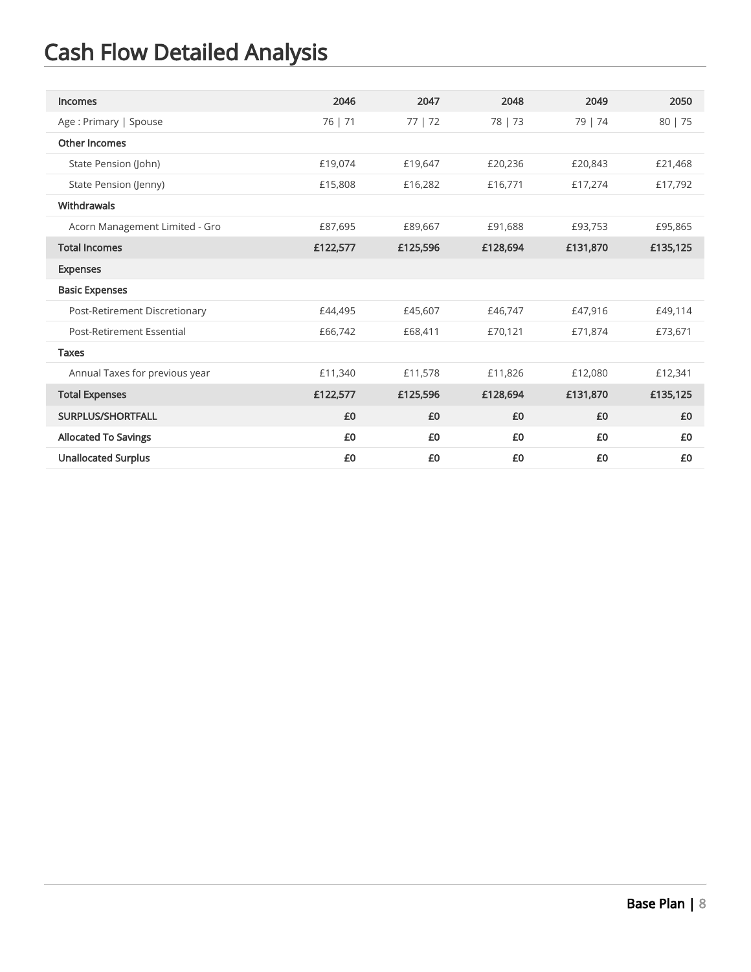| Incomes                        | 2046     | 2047     | 2048     | 2049     | 2050     |
|--------------------------------|----------|----------|----------|----------|----------|
| Age: Primary   Spouse          | 76   71  | 77   72  | 78   73  | 79   74  | 80   75  |
| Other Incomes                  |          |          |          |          |          |
| State Pension (John)           | £19,074  | £19,647  | £20,236  | £20,843  | £21,468  |
| State Pension (Jenny)          | £15,808  | £16,282  | £16,771  | £17,274  | £17,792  |
| Withdrawals                    |          |          |          |          |          |
| Acorn Management Limited - Gro | £87,695  | £89,667  | £91,688  | £93,753  | £95,865  |
| <b>Total Incomes</b>           | £122,577 | £125,596 | £128,694 | £131,870 | £135,125 |
| <b>Expenses</b>                |          |          |          |          |          |
| <b>Basic Expenses</b>          |          |          |          |          |          |
| Post-Retirement Discretionary  | £44,495  | £45,607  | £46,747  | £47,916  | £49,114  |
| Post-Retirement Essential      | £66,742  | £68,411  | £70,121  | £71,874  | £73,671  |
| <b>Taxes</b>                   |          |          |          |          |          |
| Annual Taxes for previous year | £11,340  | £11,578  | £11,826  | £12,080  | £12,341  |
| <b>Total Expenses</b>          | £122,577 | £125,596 | £128,694 | £131,870 | £135,125 |
| <b>SURPLUS/SHORTFALL</b>       | £0       | £0       | £0       | £0       | £0       |
| <b>Allocated To Savings</b>    | £0       | £0       | £0       | £0       | £0       |
| <b>Unallocated Surplus</b>     | £0       | £0       | £0       | £0       | £0       |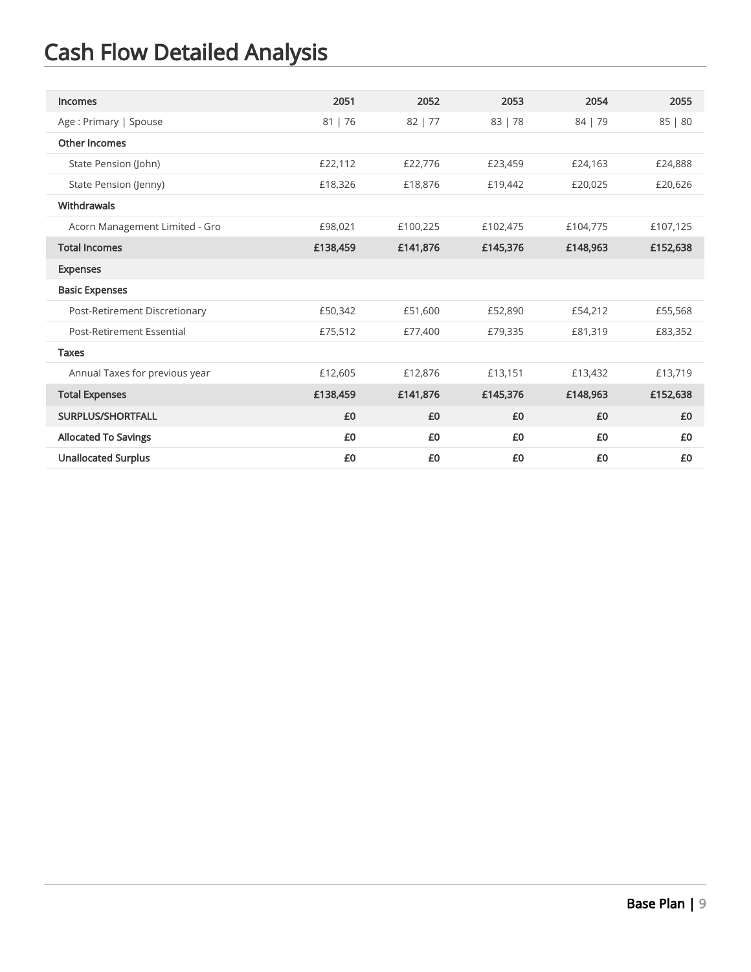| Incomes                        | 2051     | 2052      | 2053     | 2054     | 2055     |
|--------------------------------|----------|-----------|----------|----------|----------|
| Age: Primary   Spouse          | 81   76  | $82$   77 | 83   78  | 84   79  | 85   80  |
| <b>Other Incomes</b>           |          |           |          |          |          |
| State Pension (John)           | £22,112  | £22,776   | £23,459  | £24,163  | £24,888  |
| State Pension (Jenny)          | £18,326  | £18,876   | £19,442  | £20,025  | £20,626  |
| Withdrawals                    |          |           |          |          |          |
| Acorn Management Limited - Gro | £98,021  | £100,225  | £102,475 | £104,775 | £107,125 |
| <b>Total Incomes</b>           | £138,459 | £141,876  | £145,376 | £148,963 | £152,638 |
| <b>Expenses</b>                |          |           |          |          |          |
| <b>Basic Expenses</b>          |          |           |          |          |          |
| Post-Retirement Discretionary  | £50,342  | £51,600   | £52,890  | £54,212  | £55,568  |
| Post-Retirement Essential      | £75,512  | £77,400   | £79,335  | £81,319  | £83,352  |
| <b>Taxes</b>                   |          |           |          |          |          |
| Annual Taxes for previous year | £12,605  | £12,876   | £13,151  | £13,432  | £13,719  |
| <b>Total Expenses</b>          | £138,459 | £141,876  | £145,376 | £148,963 | £152,638 |
| <b>SURPLUS/SHORTFALL</b>       | £0       | £0        | £0       | £0       | £0       |
| <b>Allocated To Savings</b>    | £0       | £0        | £0       | £0       | £0       |
| <b>Unallocated Surplus</b>     | £0       | £0        | £0       | £0       | £0       |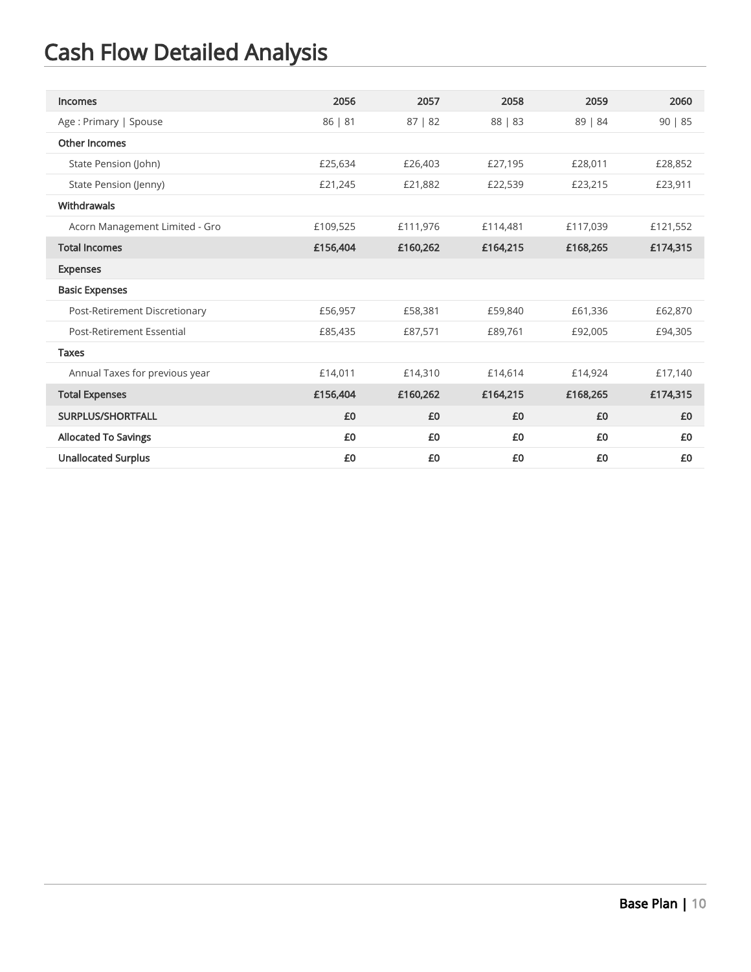| Incomes                        | 2056     | 2057     | 2058     | 2059     | 2060     |
|--------------------------------|----------|----------|----------|----------|----------|
| Age: Primary   Spouse          | 86   81  | 87   82  | 88   83  | 89   84  | 90   85  |
| Other Incomes                  |          |          |          |          |          |
| State Pension (John)           | £25,634  | £26,403  | £27,195  | £28,011  | £28,852  |
| State Pension (Jenny)          | £21,245  | £21,882  | £22,539  | £23,215  | £23,911  |
| Withdrawals                    |          |          |          |          |          |
| Acorn Management Limited - Gro | £109,525 | £111,976 | £114,481 | £117,039 | £121,552 |
| <b>Total Incomes</b>           | £156,404 | £160,262 | £164,215 | £168,265 | £174,315 |
| <b>Expenses</b>                |          |          |          |          |          |
| <b>Basic Expenses</b>          |          |          |          |          |          |
| Post-Retirement Discretionary  | £56,957  | £58,381  | £59,840  | £61,336  | £62,870  |
| Post-Retirement Essential      | £85,435  | £87,571  | £89,761  | £92,005  | £94,305  |
| <b>Taxes</b>                   |          |          |          |          |          |
| Annual Taxes for previous year | £14,011  | £14,310  | £14,614  | £14,924  | £17,140  |
| <b>Total Expenses</b>          | £156,404 | £160,262 | £164,215 | £168,265 | £174,315 |
| SURPLUS/SHORTFALL              | £0       | £0       | £0       | £0       | £0       |
| <b>Allocated To Savings</b>    | £0       | £0       | £0       | £0       | £0       |
| <b>Unallocated Surplus</b>     | £0       | £0       | £0       | £0       | £0       |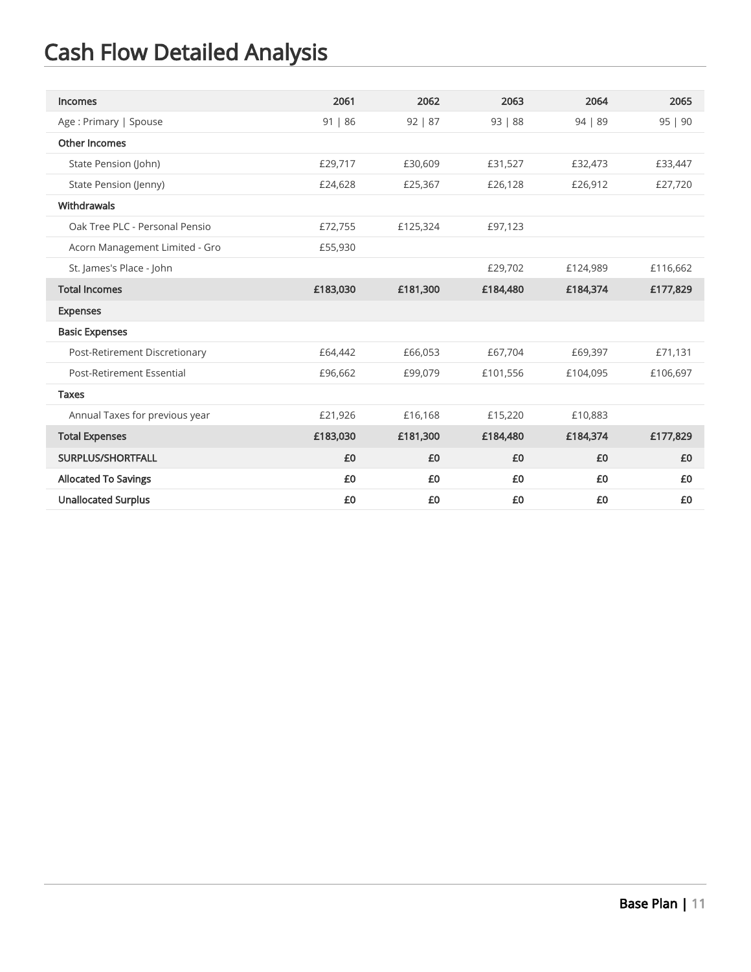| Incomes                        | 2061     | 2062     | 2063     | 2064     | 2065     |
|--------------------------------|----------|----------|----------|----------|----------|
| Age: Primary   Spouse          | 91   86  | 92   87  | 93   88  | 94   89  | 95   90  |
| <b>Other Incomes</b>           |          |          |          |          |          |
| State Pension (John)           | £29,717  | £30,609  | £31,527  | £32,473  | £33,447  |
| State Pension (Jenny)          | £24,628  | £25,367  | £26,128  | £26,912  | £27,720  |
| Withdrawals                    |          |          |          |          |          |
| Oak Tree PLC - Personal Pensio | £72,755  | £125,324 | £97,123  |          |          |
| Acorn Management Limited - Gro | £55,930  |          |          |          |          |
| St. James's Place - John       |          |          | £29,702  | £124,989 | £116,662 |
| <b>Total Incomes</b>           | £183,030 | £181,300 | £184,480 | £184,374 | £177,829 |
| <b>Expenses</b>                |          |          |          |          |          |
| <b>Basic Expenses</b>          |          |          |          |          |          |
| Post-Retirement Discretionary  | £64,442  | £66,053  | £67,704  | £69,397  | £71,131  |
| Post-Retirement Essential      | £96,662  | £99,079  | £101,556 | £104,095 | £106,697 |
| <b>Taxes</b>                   |          |          |          |          |          |
| Annual Taxes for previous year | £21,926  | £16,168  | £15,220  | £10,883  |          |
| <b>Total Expenses</b>          | £183,030 | £181,300 | £184,480 | £184,374 | £177,829 |
| <b>SURPLUS/SHORTFALL</b>       | £0       | £0       | £0       | £0       | £0       |
| <b>Allocated To Savings</b>    | £0       | £0       | £0       | £0       | £0       |
| <b>Unallocated Surplus</b>     | £0       | £0       | £0       | £0       | £0       |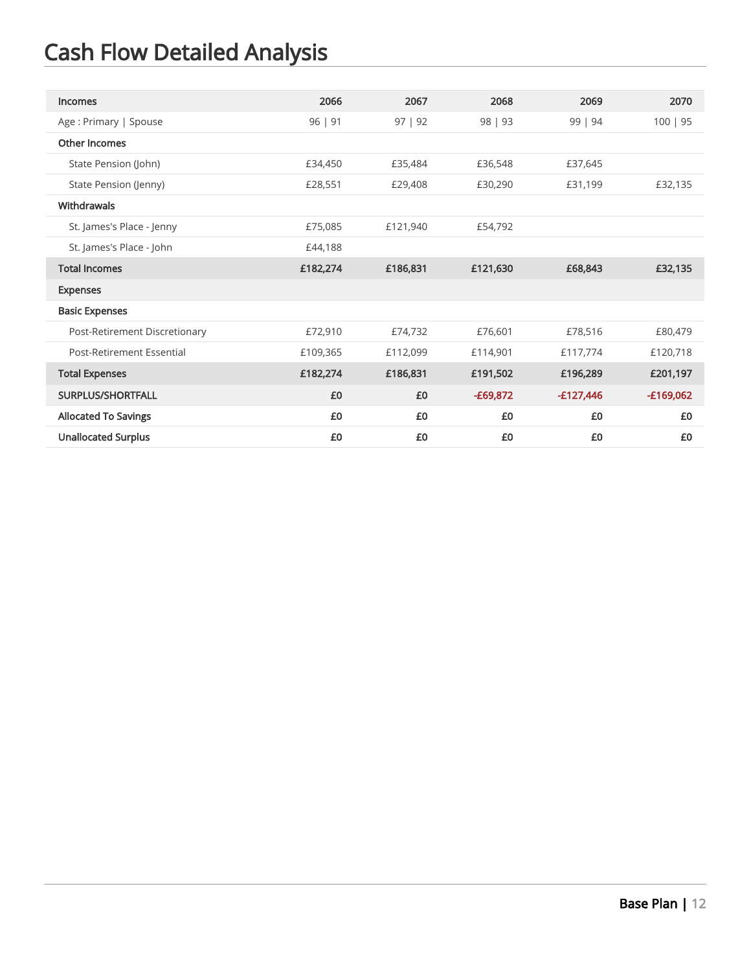| Incomes                       | 2066     | 2067     | 2068       | 2069        | 2070        |
|-------------------------------|----------|----------|------------|-------------|-------------|
| Age: Primary   Spouse         | 96   91  | 97   92  | 98   93    | 99   94     | 100   95    |
| Other Incomes                 |          |          |            |             |             |
| State Pension (John)          | £34,450  | £35,484  | £36,548    | £37.645     |             |
| State Pension (Jenny)         | £28,551  | £29,408  | £30,290    | £31,199     | £32,135     |
| <b>Withdrawals</b>            |          |          |            |             |             |
| St. James's Place - Jenny     | £75,085  | £121,940 | £54,792    |             |             |
| St. James's Place - John      | £44,188  |          |            |             |             |
| <b>Total Incomes</b>          | £182,274 | £186,831 | £121,630   | £68,843     | £32,135     |
| <b>Expenses</b>               |          |          |            |             |             |
| <b>Basic Expenses</b>         |          |          |            |             |             |
| Post-Retirement Discretionary | £72,910  | £74,732  | £76,601    | £78,516     | £80,479     |
| Post-Retirement Essential     | £109,365 | £112,099 | £114,901   | £117,774    | £120,718    |
| <b>Total Expenses</b>         | £182,274 | £186,831 | £191,502   | £196,289    | £201,197    |
| <b>SURPLUS/SHORTFALL</b>      | £0       | £0       | $-E69,872$ | $-£127,446$ | $-£169,062$ |
| <b>Allocated To Savings</b>   | £0       | £0       | £0         | £0          | £0          |
| <b>Unallocated Surplus</b>    | £0       | £0       | £0         | £0          | £0          |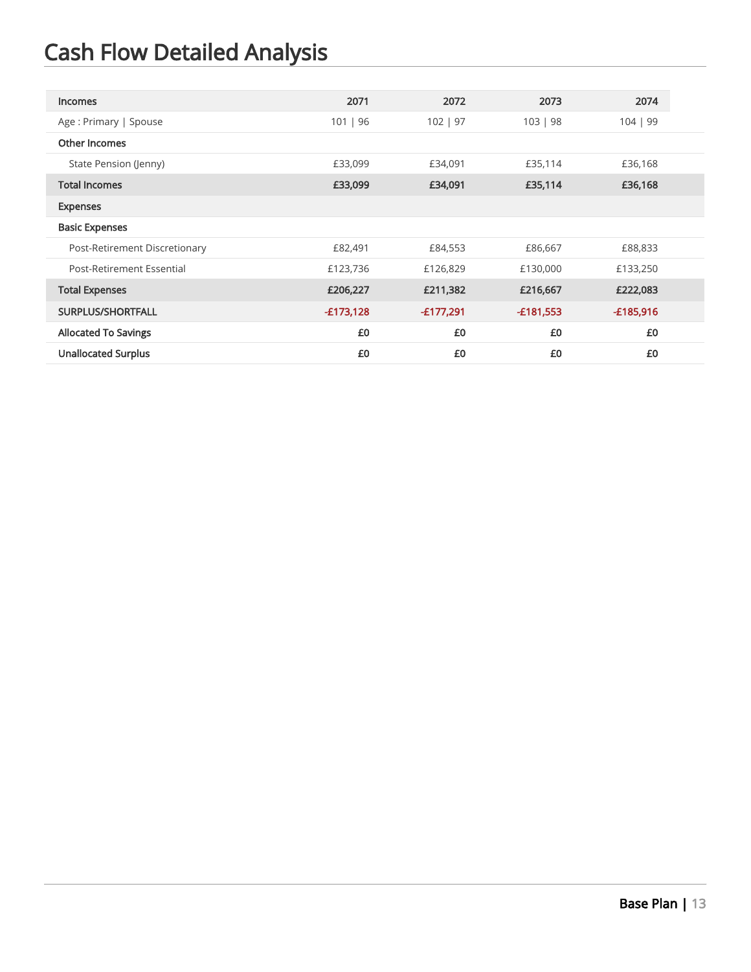| <b>Incomes</b>                | 2071        | 2072        | 2073        | 2074        |
|-------------------------------|-------------|-------------|-------------|-------------|
| Age: Primary   Spouse         | 101   96    | 102   97    | 103   98    | 104   99    |
| Other Incomes                 |             |             |             |             |
| State Pension (Jenny)         | £33,099     | £34,091     | £35,114     | £36,168     |
| <b>Total Incomes</b>          | £33,099     | £34,091     | £35,114     | £36,168     |
| <b>Expenses</b>               |             |             |             |             |
| <b>Basic Expenses</b>         |             |             |             |             |
| Post-Retirement Discretionary | £82,491     | £84,553     | £86,667     | £88,833     |
| Post-Retirement Essential     | £123,736    | £126,829    | £130,000    | £133,250    |
| <b>Total Expenses</b>         | £206,227    | £211,382    | £216,667    | £222,083    |
| SURPLUS/SHORTFALL             | $-£173,128$ | $-£177,291$ | $-£181,553$ | $-£185,916$ |
| <b>Allocated To Savings</b>   | £0          | £0          | £0          | £0          |
| <b>Unallocated Surplus</b>    | £0          | £0          | £0          | £0          |